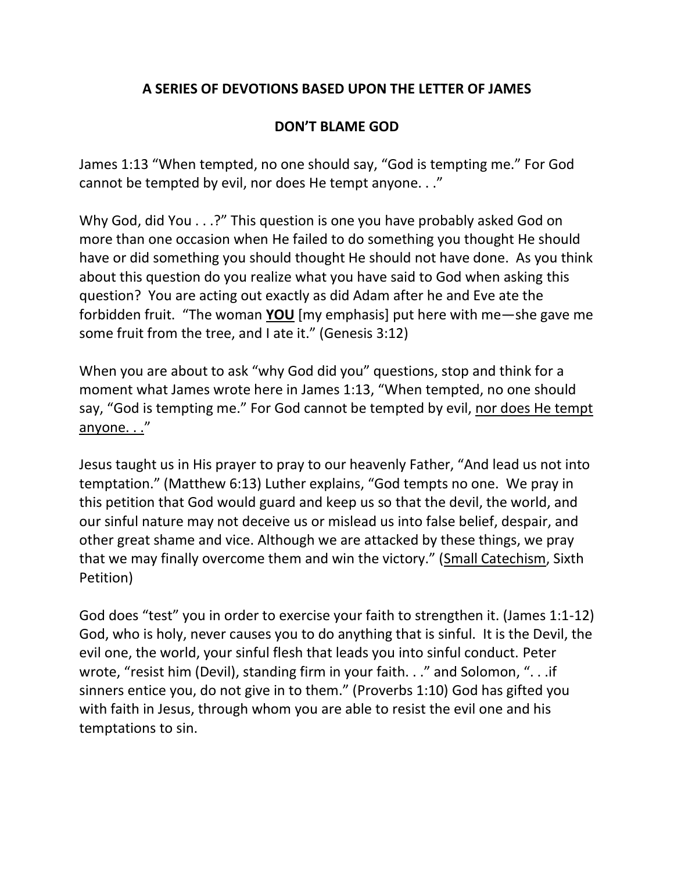## **A SERIES OF DEVOTIONS BASED UPON THE LETTER OF JAMES**

## **DON'T BLAME GOD**

James 1:13 "When tempted, no one should say, "God is tempting me." For God cannot be tempted by evil, nor does He tempt anyone. . ."

Why God, did You . . .?" This question is one you have probably asked God on more than one occasion when He failed to do something you thought He should have or did something you should thought He should not have done. As you think about this question do you realize what you have said to God when asking this question? You are acting out exactly as did Adam after he and Eve ate the forbidden fruit. "The woman **YOU** [my emphasis] put here with me—she gave me some fruit from the tree, and I ate it." (Genesis 3:12)

When you are about to ask "why God did you" questions, stop and think for a moment what James wrote here in James 1:13, "When tempted, no one should say, "God is tempting me." For God cannot be tempted by evil, nor does He tempt anyone. . ."

Jesus taught us in His prayer to pray to our heavenly Father, "And lead us not into temptation." (Matthew 6:13) Luther explains, "God tempts no one. We pray in this petition that God would guard and keep us so that the devil, the world, and our sinful nature may not deceive us or mislead us into false belief, despair, and other great shame and vice. Although we are attacked by these things, we pray that we may finally overcome them and win the victory." (Small Catechism, Sixth Petition)

God does "test" you in order to exercise your faith to strengthen it. (James 1:1-12) God, who is holy, never causes you to do anything that is sinful. It is the Devil, the evil one, the world, your sinful flesh that leads you into sinful conduct. Peter wrote, "resist him (Devil), standing firm in your faith. . ." and Solomon, ". . .if sinners entice you, do not give in to them." (Proverbs 1:10) God has gifted you with faith in Jesus, through whom you are able to resist the evil one and his temptations to sin.